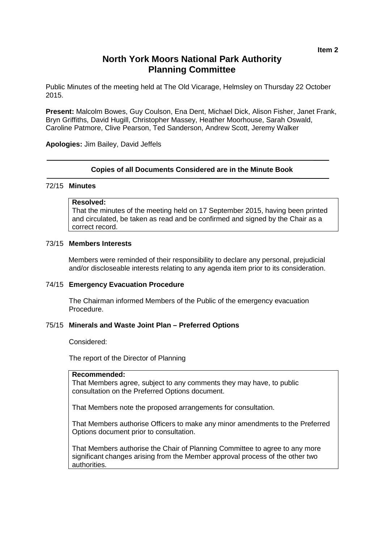## **North York Moors National Park Authority Planning Committee**

Public Minutes of the meeting held at The Old Vicarage, Helmsley on Thursday 22 October 2015.

**Present:** Malcolm Bowes, Guy Coulson, Ena Dent, Michael Dick, Alison Fisher, Janet Frank, Bryn Griffiths, David Hugill, Christopher Massey, Heather Moorhouse, Sarah Oswald, Caroline Patmore, Clive Pearson, Ted Sanderson, Andrew Scott, Jeremy Walker

**Apologies:** Jim Bailey, David Jeffels

#### **Copies of all Documents Considered are in the Minute Book**

#### 72/15 **Minutes**

#### **Resolved:**

That the minutes of the meeting held on 17 September 2015, having been printed and circulated, be taken as read and be confirmed and signed by the Chair as a correct record.

#### 73/15 **Members Interests**

Members were reminded of their responsibility to declare any personal, prejudicial and/or discloseable interests relating to any agenda item prior to its consideration.

#### 74/15 **Emergency Evacuation Procedure**

The Chairman informed Members of the Public of the emergency evacuation Procedure.

#### 75/15 **Minerals and Waste Joint Plan – Preferred Options**

Considered:

The report of the Director of Planning

#### **Recommended:**

That Members agree, subject to any comments they may have, to public consultation on the Preferred Options document.

That Members note the proposed arrangements for consultation.

That Members authorise Officers to make any minor amendments to the Preferred Options document prior to consultation.

That Members authorise the Chair of Planning Committee to agree to any more significant changes arising from the Member approval process of the other two authorities.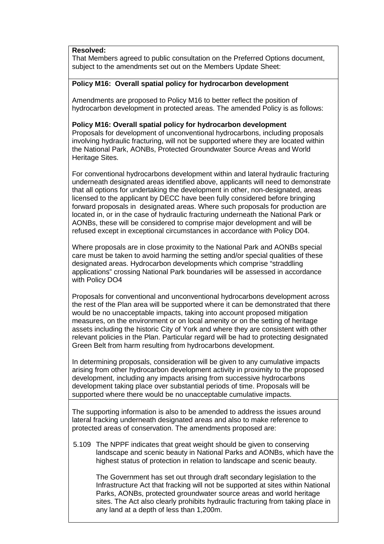**Resolved:**

That Members agreed to public consultation on the Preferred Options document, subject to the amendments set out on the Members Update Sheet:

## **Policy M16: Overall spatial policy for hydrocarbon development**

Amendments are proposed to Policy M16 to better reflect the position of hydrocarbon development in protected areas. The amended Policy is as follows:

## **Policy M16: Overall spatial policy for hydrocarbon development**

Proposals for development of unconventional hydrocarbons, including proposals involving hydraulic fracturing, will not be supported where they are located within the National Park, AONBs, Protected Groundwater Source Areas and World Heritage Sites.

For conventional hydrocarbons development within and lateral hydraulic fracturing underneath designated areas identified above, applicants will need to demonstrate that all options for undertaking the development in other, non-designated, areas licensed to the applicant by DECC have been fully considered before bringing forward proposals in designated areas. Where such proposals for production are located in, or in the case of hydraulic fracturing underneath the National Park or AONBs, these will be considered to comprise major development and will be refused except in exceptional circumstances in accordance with Policy D04.

Where proposals are in close proximity to the National Park and AONBs special care must be taken to avoid harming the setting and/or special qualities of these designated areas. Hydrocarbon developments which comprise "straddling applications" crossing National Park boundaries will be assessed in accordance with Policy DO4

Proposals for conventional and unconventional hydrocarbons development across the rest of the Plan area will be supported where it can be demonstrated that there would be no unacceptable impacts, taking into account proposed mitigation measures, on the environment or on local amenity or on the setting of heritage assets including the historic City of York and where they are consistent with other relevant policies in the Plan. Particular regard will be had to protecting designated Green Belt from harm resulting from hydrocarbons development.

In determining proposals, consideration will be given to any cumulative impacts arising from other hydrocarbon development activity in proximity to the proposed development, including any impacts arising from successive hydrocarbons development taking place over substantial periods of time. Proposals will be supported where there would be no unacceptable cumulative impacts.

The supporting information is also to be amended to address the issues around lateral fracking underneath designated areas and also to make reference to protected areas of conservation. The amendments proposed are:

5.109 The NPPF indicates that great weight should be given to conserving landscape and scenic beauty in National Parks and AONBs, which have the highest status of protection in relation to landscape and scenic beauty.

The Government has set out through draft secondary legislation to the Infrastructure Act that fracking will not be supported at sites within National Parks, AONBs, protected groundwater source areas and world heritage sites. The Act also clearly prohibits hydraulic fracturing from taking place in any land at a depth of less than 1,200m.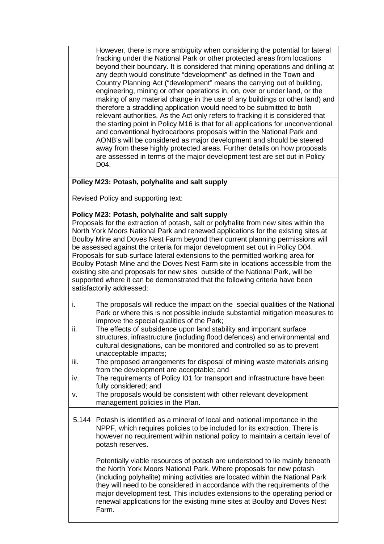However, there is more ambiguity when considering the potential for lateral fracking under the National Park or other protected areas from locations beyond their boundary. It is considered that mining operations and drilling at any depth would constitute "development" as defined in the Town and Country Planning Act ("development" means the carrying out of building, engineering, mining or other operations in, on, over or under land, or the making of any material change in the use of any buildings or other land) and therefore a straddling application would need to be submitted to both relevant authorities. As the Act only refers to fracking it is considered that the starting point in Policy M16 is that for all applications for unconventional and conventional hydrocarbons proposals within the National Park and AONB's will be considered as major development and should be steered away from these highly protected areas. Further details on how proposals are assessed in terms of the major development test are set out in Policy D04.

## **Policy M23: Potash, polyhalite and salt supply**

Revised Policy and supporting text:

## **Policy M23: Potash, polyhalite and salt supply**

Proposals for the extraction of potash, salt or polyhalite from new sites within the North York Moors National Park and renewed applications for the existing sites at Boulby Mine and Doves Nest Farm beyond their current planning permissions will be assessed against the criteria for major development set out in Policy D04. Proposals for sub-surface lateral extensions to the permitted working area for Boulby Potash Mine and the Doves Nest Farm site in locations accessible from the existing site and proposals for new sites outside of the National Park, will be supported where it can be demonstrated that the following criteria have been satisfactorily addressed;

- i. The proposals will reduce the impact on the special qualities of the National Park or where this is not possible include substantial mitigation measures to improve the special qualities of the Park;
- ii. The effects of subsidence upon land stability and important surface structures, infrastructure (including flood defences) and environmental and cultural designations, can be monitored and controlled so as to prevent unacceptable impacts;
- iii. The proposed arrangements for disposal of mining waste materials arising from the development are acceptable; and
- iv. The requirements of Policy I01 for transport and infrastructure have been fully considered; and
- v. The proposals would be consistent with other relevant development management policies in the Plan.
- 5.144 Potash is identified as a mineral of local and national importance in the NPPF, which requires policies to be included for its extraction. There is however no requirement within national policy to maintain a certain level of potash reserves.

Potentially viable resources of potash are understood to lie mainly beneath the North York Moors National Park. Where proposals for new potash (including polyhalite) mining activities are located within the National Park they will need to be considered in accordance with the requirements of the major development test. This includes extensions to the operating period or renewal applications for the existing mine sites at Boulby and Doves Nest Farm.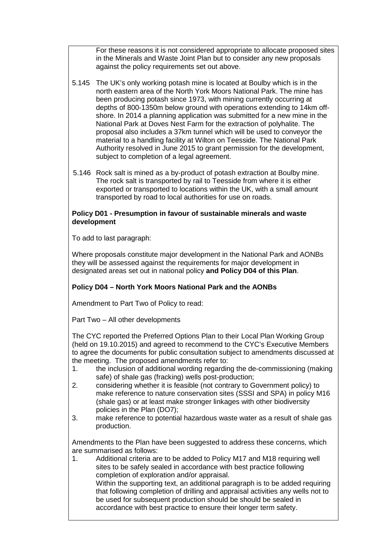For these reasons it is not considered appropriate to allocate proposed sites in the Minerals and Waste Joint Plan but to consider any new proposals against the policy requirements set out above.

- 5.145 The UK's only working potash mine is located at Boulby which is in the north eastern area of the North York Moors National Park. The mine has been producing potash since 1973, with mining currently occurring at depths of 800-1350m below ground with operations extending to 14km offshore. In 2014 a planning application was submitted for a new mine in the National Park at Doves Nest Farm for the extraction of polyhalite. The proposal also includes a 37km tunnel which will be used to conveyor the material to a handling facility at Wilton on Teesside. The National Park Authority resolved in June 2015 to grant permission for the development, subject to completion of a legal agreement.
- 5.146 Rock salt is mined as a by-product of potash extraction at Boulby mine. The rock salt is transported by rail to Teesside from where it is either exported or transported to locations within the UK, with a small amount transported by road to local authorities for use on roads.

## **Policy D01 - Presumption in favour of sustainable minerals and waste development**

To add to last paragraph:

Where proposals constitute major development in the National Park and AONBs they will be assessed against the requirements for major development in designated areas set out in national policy **and Policy D04 of this Plan**.

## **Policy D04 – North York Moors National Park and the AONBs**

Amendment to Part Two of Policy to read:

Part Two – All other developments

The CYC reported the Preferred Options Plan to their Local Plan Working Group (held on 19.10.2015) and agreed to recommend to the CYC's Executive Members to agree the documents for public consultation subject to amendments discussed at the meeting. The proposed amendments refer to:

- 1. the inclusion of additional wording regarding the de-commissioning (making safe) of shale gas (fracking) wells post-production;
- 2. considering whether it is feasible (not contrary to Government policy) to make reference to nature conservation sites (SSSI and SPA) in policy M16 (shale gas) or at least make stronger linkages with other biodiversity policies in the Plan (DO7);
- 3. make reference to potential hazardous waste water as a result of shale gas production.

Amendments to the Plan have been suggested to address these concerns, which are summarised as follows:

1. Additional criteria are to be added to Policy M17 and M18 requiring well sites to be safely sealed in accordance with best practice following completion of exploration and/or appraisal. Within the supporting text, an additional paragraph is to be added requiring that following completion of drilling and appraisal activities any wells not to be used for subsequent production should be should be sealed in accordance with best practice to ensure their longer term safety.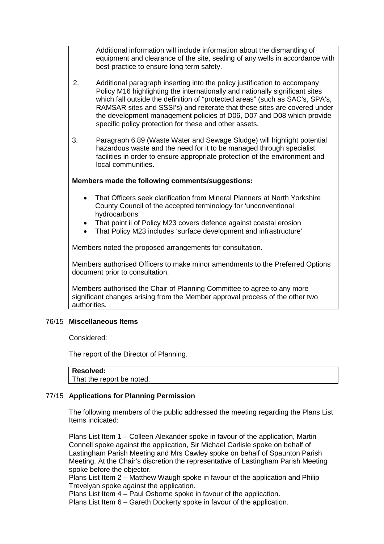Additional information will include information about the dismantling of equipment and clearance of the site, sealing of any wells in accordance with best practice to ensure long term safety.

- 2. Additional paragraph inserting into the policy justification to accompany Policy M16 highlighting the internationally and nationally significant sites which fall outside the definition of "protected areas" (such as SAC's, SPA's, RAMSAR sites and SSSI's) and reiterate that these sites are covered under the development management policies of D06, D07 and D08 which provide specific policy protection for these and other assets.
- 3. Paragraph 6.89 (Waste Water and Sewage Sludge) will highlight potential hazardous waste and the need for it to be managed through specialist facilities in order to ensure appropriate protection of the environment and local communities.

## **Members made the following comments/suggestions:**

- That Officers seek clarification from Mineral Planners at North Yorkshire County Council of the accepted terminology for 'unconventional hydrocarbons'
- That point ii of Policy M23 covers defence against coastal erosion
- That Policy M23 includes 'surface development and infrastructure'

Members noted the proposed arrangements for consultation.

Members authorised Officers to make minor amendments to the Preferred Options document prior to consultation.

Members authorised the Chair of Planning Committee to agree to any more significant changes arising from the Member approval process of the other two authorities.

#### 76/15 **Miscellaneous Items**

Considered:

The report of the Director of Planning.

That the report be noted.

## 77/15 **Applications for Planning Permission**

The following members of the public addressed the meeting regarding the Plans List Items indicated:

Plans List Item 1 – Colleen Alexander spoke in favour of the application, Martin Connell spoke against the application, Sir Michael Carlisle spoke on behalf of Lastingham Parish Meeting and Mrs Cawley spoke on behalf of Spaunton Parish Meeting. At the Chair's discretion the representative of Lastingham Parish Meeting spoke before the objector.

Plans List Item 2 – Matthew Waugh spoke in favour of the application and Philip Trevelyan spoke against the application.

Plans List Item 4 – Paul Osborne spoke in favour of the application.

Plans List Item 6 – Gareth Dockerty spoke in favour of the application.

**Resolved:**